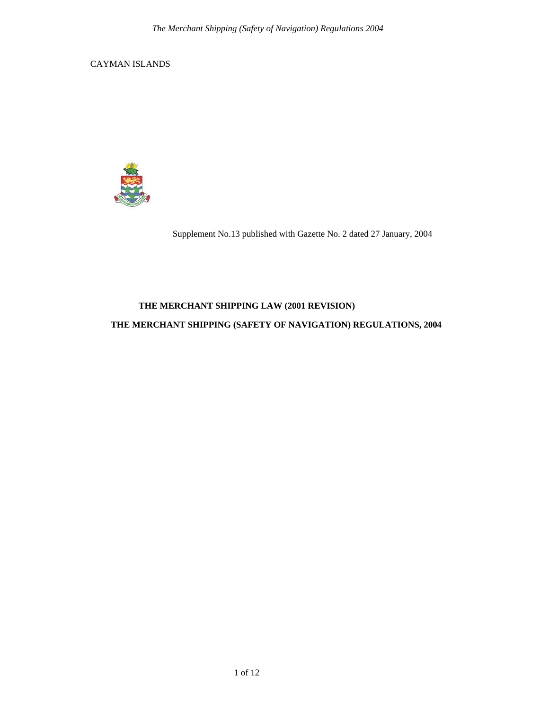CAYMAN ISLANDS



Supplement No.13 published with Gazette No. 2 dated 27 January, 2004

# **THE MERCHANT SHIPPING LAW (2001 REVISION)**

# **THE MERCHANT SHIPPING (SAFETY OF NAVIGATION) REGULATIONS, 2004**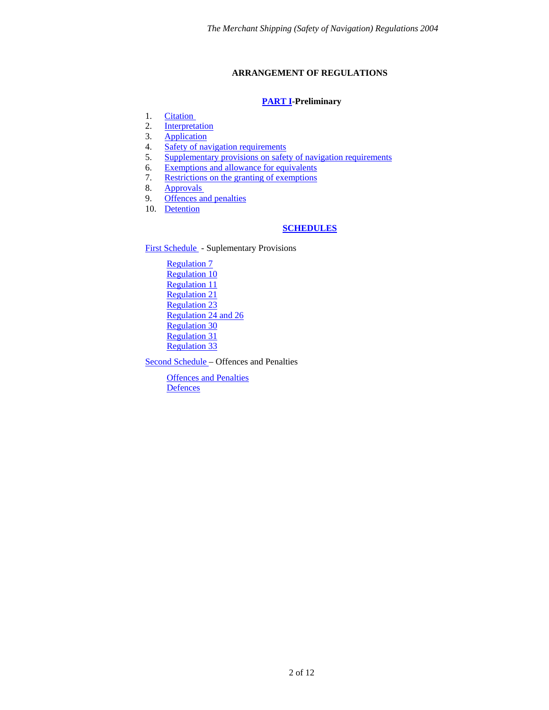# **ARRANGEMENT OF REGULATIONS**

## **[PART I-](#page-2-0)Preliminary**

- <span id="page-1-0"></span>1. [Citation](#page-2-1)
- 2. [Interpretation](#page-2-2)
- 3. [Application](#page-2-3)
- 4. [Safety of navigation requirements](#page-3-0)
- 5. [Supplementary provisions on safety of navigation requirements](#page-4-0)
- 6. [Exemptions and allowance for equivalents](#page-4-1)
- 7. [Restrictions on the granting of exemptions](#page-4-2)
- 8. [Approvals](#page-5-0)
- 9. [Offences and penalties](#page-5-1)
- 10. [Detention](#page-5-2)

# **[SCHEDULES](#page-6-0)**

[First Schedule](#page-6-0) - Suplementary Provisions

[Regulation 7](#page-6-1) [Regulation 10](#page-6-2) [Regulation 11](#page-7-0) [Regulation 21](#page-7-1) [Regulation 23](#page-7-2) [Regulation 24 and 26](#page-7-3) [Regulation 30](#page-8-0) [Regulation 31](#page-8-1) [Regulation 33](#page-8-2)

[Second Schedule](#page-9-0) – Offences and Penalties

[Offences and Penalties](#page-9-1) **[Defences](#page-11-0)**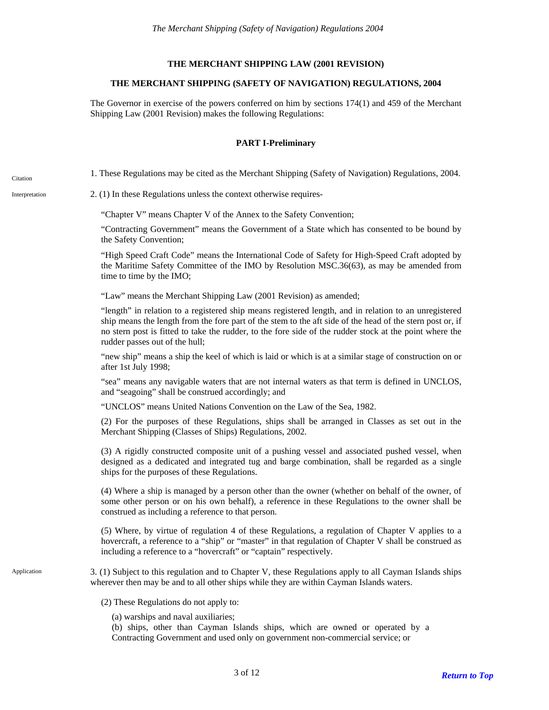### **THE MERCHANT SHIPPING LAW (2001 REVISION)**

### **THE MERCHANT SHIPPING (SAFETY OF NAVIGATION) REGULATIONS, 2004**

<span id="page-2-3"></span>The Governor in exercise of the powers conferred on him by sections 174(1) and 459 of the Merchant Shipping Law (2001 Revision) makes the following Regulations:

### **PART I-Preliminary**

<span id="page-2-1"></span><span id="page-2-0"></span>1. These Regulations may be cited as the Merchant Shipping (Safety of Navigation) Regulations, 2004. Citation

<span id="page-2-2"></span>Interpretation 2. (1) In these Regulations unless the context otherwise requires-

"Chapter V" means Chapter V of the Annex to the Safety Convention;

"Contracting Government" means the Government of a State which has consented to be bound by the Safety Convention;

"High Speed Craft Code" means the International Code of Safety for High-Speed Craft adopted by the Maritime Safety Committee of the IMO by Resolution MSC.36(63), as may be amended from time to time by the IMO;

"Law" means the Merchant Shipping Law (2001 Revision) as amended;

"length" in relation to a registered ship means registered length, and in relation to an unregistered ship means the length from the fore part of the stem to the aft side of the head of the stern post or, if no stern post is fitted to take the rudder, to the fore side of the rudder stock at the point where the rudder passes out of the hull;

"new ship" means a ship the keel of which is laid or which is at a similar stage of construction on or after 1st July 1998;

"sea" means any navigable waters that are not internal waters as that term is defined in UNCLOS, and "seagoing" shall be construed accordingly; and

"UNCLOS" means United Nations Convention on the Law of the Sea, 1982.

(2) For the purposes of these Regulations, ships shall be arranged in Classes as set out in the Merchant Shipping (Classes of Ships) Regulations, 2002.

(3) A rigidly constructed composite unit of a pushing vessel and associated pushed vessel, when designed as a dedicated and integrated tug and barge combination, shall be regarded as a single ships for the purposes of these Regulations.

(4) Where a ship is managed by a person other than the owner (whether on behalf of the owner, of some other person or on his own behalf), a reference in these Regulations to the owner shall be construed as including a reference to that person.

(5) Where, by virtue of regulation 4 of these Regulations, a regulation of Chapter V applies to a hovercraft, a reference to a "ship" or "master" in that regulation of Chapter V shall be construed as including a reference to a "hovercraft" or "captain" respectively.

3. (1) Subject to this regulation and to Chapter V, these Regulations apply to all Cayman Islands ships wherever then may be and to all other ships while they are within Cayman Islands waters.

(2) These Regulations do not apply to:

(a) warships and naval auxiliaries;

(b) ships, other than Cayman Islands ships, which are owned or operated by a Contracting Government and used only on government non-commercial service; or

Application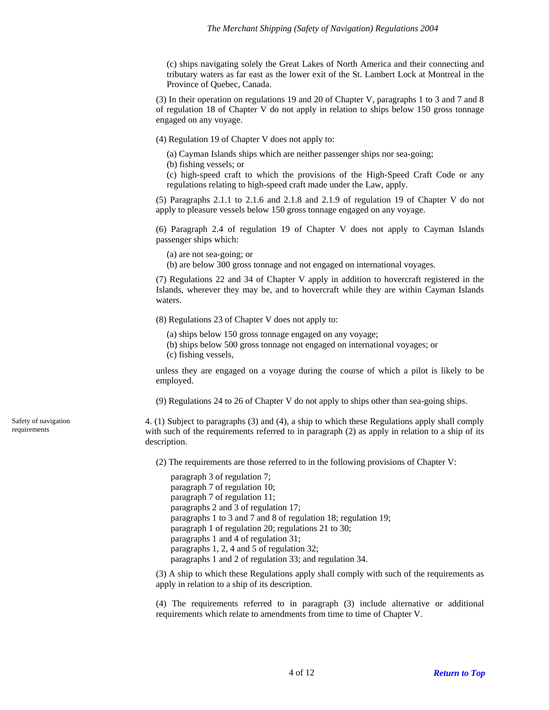(c) ships navigating solely the Great Lakes of North America and their connecting and tributary waters as far east as the lower exit of the St. Lambert Lock at Montreal in the Province of Quebec, Canada.

(3) In their operation on regulations 19 and 20 of Chapter V, paragraphs 1 to 3 and 7 and 8 of regulation 18 of Chapter V do not apply in relation to ships below 150 gross tonnage engaged on any voyage.

(4) Regulation 19 of Chapter V does not apply to:

(a) Cayman Islands ships which are neither passenger ships nor sea-going;

(b) fishing vessels; or

(c) high-speed craft to which the provisions of the High-Speed Craft Code or any regulations relating to high-speed craft made under the Law, apply.

(5) Paragraphs 2.1.1 to 2.1.6 and 2.1.8 and 2.1.9 of regulation 19 of Chapter V do not apply to pleasure vessels below 150 gross tonnage engaged on any voyage.

(6) Paragraph 2.4 of regulation 19 of Chapter V does not apply to Cayman Islands passenger ships which:

(a) are not sea-going; or

(b) are below 300 gross tonnage and not engaged on international voyages.

(7) Regulations 22 and 34 of Chapter V apply in addition to hovercraft registered in the Islands, wherever they may be, and to hovercraft while they are within Cayman Islands waters.

(8) Regulations 23 of Chapter V does not apply to:

- (a) ships below 150 gross tonnage engaged on any voyage;
- (b) ships below 500 gross tonnage not engaged on international voyages; or
- (c) fishing vessels,

unless they are engaged on a voyage during the course of which a pilot is likely to be employed.

(9) Regulations 24 to 26 of Chapter V do not apply to ships other than sea-going ships.

4. (1) Subject to paragraphs (3) and (4), a ship to which these Regulations apply shall comply with such of the requirements referred to in paragraph (2) as apply in relation to a ship of its description.

(2) The requirements are those referred to in the following provisions of Chapter V:

paragraph 3 of regulation 7; paragraph 7 of regulation 10; paragraph 7 of regulation 11; paragraphs 2 and 3 of regulation 17; paragraphs 1 to 3 and 7 and 8 of regulation 18; regulation 19; paragraph 1 of regulation 20; regulations 21 to 30; paragraphs 1 and 4 of regulation 31; paragraphs 1, 2, 4 and 5 of regulation 32; paragraphs 1 and 2 of regulation 33; and regulation 34.

(3) A ship to which these Regulations apply shall comply with such of the requirements as apply in relation to a ship of its description.

(4) The requirements referred to in paragraph (3) include alternative or additional requirements which relate to amendments from time to time of Chapter V.

<span id="page-3-0"></span>Safety of navigation requirements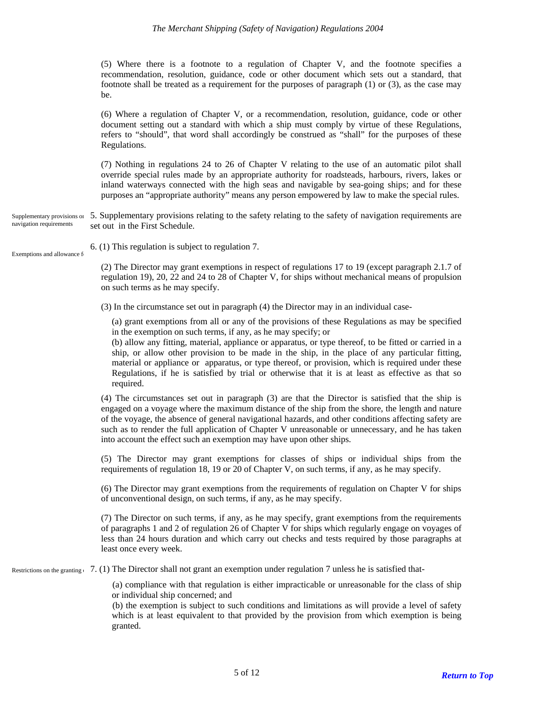(5) Where there is a footnote to a regulation of Chapter V, and the footnote specifies a recommendation, resolution, guidance, code or other document which sets out a standard, that footnote shall be treated as a requirement for the purposes of paragraph (1) or (3), as the case may be.

(6) Where a regulation of Chapter V, or a recommendation, resolution, guidance, code or other document setting out a standard with which a ship must comply by virtue of these Regulations, refers to "should", that word shall accordingly be construed as "shall" for the purposes of these Regulations.

(7) Nothing in regulations 24 to 26 of Chapter V relating to the use of an automatic pilot shall override special rules made by an appropriate authority for roadsteads, harbours, rivers, lakes or inland waterways connected with the high seas and navigable by sea-going ships; and for these purposes an "appropriate authority" means any person empowered by law to make the special rules.

<span id="page-4-0"></span>Supplementary provisions on 5. Supplementary provisions relating to the safety relating to the safety of navigation requirements are set out in the First Schedule. navigation requirements

<span id="page-4-1"></span>Exemptions and allowance for

6. (1) This regulation is subject to regulation 7.

(2) The Director may grant exemptions in respect of regulations 17 to 19 (except paragraph 2.1.7 of regulation 19), 20, 22 and 24 to 28 of Chapter V, for ships without mechanical means of propulsion on such terms as he may specify.

(3) In the circumstance set out in paragraph (4) the Director may in an individual case-

(a) grant exemptions from all or any of the provisions of these Regulations as may be specified in the exemption on such terms, if any, as he may specify; or

(b) allow any fitting, material, appliance or apparatus, or type thereof, to be fitted or carried in a ship, or allow other provision to be made in the ship, in the place of any particular fitting, material or appliance or apparatus, or type thereof, or provision, which is required under these Regulations, if he is satisfied by trial or otherwise that it is at least as effective as that so required.

(4) The circumstances set out in paragraph (3) are that the Director is satisfied that the ship is engaged on a voyage where the maximum distance of the ship from the shore, the length and nature of the voyage, the absence of general navigational hazards, and other conditions affecting safety are such as to render the full application of Chapter V unreasonable or unnecessary, and he has taken into account the effect such an exemption may have upon other ships.

(5) The Director may grant exemptions for classes of ships or individual ships from the requirements of regulation 18, 19 or 20 of Chapter V, on such terms, if any, as he may specify.

(6) The Director may grant exemptions from the requirements of regulation on Chapter V for ships of unconventional design, on such terms, if any, as he may specify.

(7) The Director on such terms, if any, as he may specify, grant exemptions from the requirements of paragraphs 1 and 2 of regulation 26 of Chapter V for ships which regularly engage on voyages of less than 24 hours duration and which carry out checks and tests required by those paragraphs at least once every week.

<span id="page-4-2"></span>Restrictions on the granting  $(7. (1)$  The Director shall not grant an exemption under regulation 7 unless he is satisfied that-

(a) compliance with that regulation is either impracticable or unreasonable for the class of ship or individual ship concerned; and

(b) the exemption is subject to such conditions and limitations as will provide a level of safety which is at least equivalent to that provided by the provision from which exemption is being granted.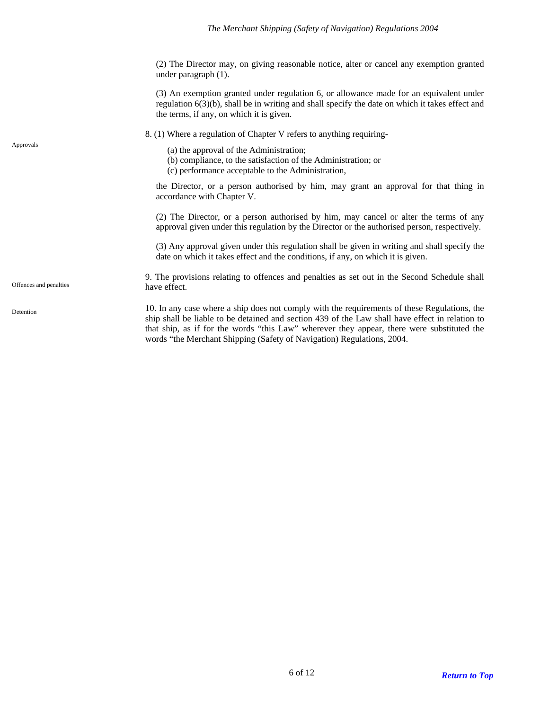(2) The Director may, on giving reasonable notice, alter or cancel any exemption granted under paragraph (1).

(3) An exemption granted under regulation 6, or allowance made for an equivalent under regulation 6(3)(b), shall be in writing and shall specify the date on which it takes effect and the terms, if any, on which it is given.

8. (1) Where a regulation of Chapter V refers to anything requiring-

<span id="page-5-0"></span>Approvals (a) the approval of the Administration;

- (b) compliance, to the satisfaction of the Administration; or
- (c) performance acceptable to the Administration,

the Director, or a person authorised by him, may grant an approval for that thing in accordance with Chapter V.

(2) The Director, or a person authorised by him, may cancel or alter the terms of any approval given under this regulation by the Director or the authorised person, respectively.

(3) Any approval given under this regulation shall be given in writing and shall specify the date on which it takes effect and the conditions, if any, on which it is given.

<span id="page-5-1"></span>9. The provisions relating to offences and penalties as set out in the Second Schedule shall Offences and penalties have effect.

> 10. In any case where a ship does not comply with the requirements of these Regulations, the ship shall be liable to be detained and section 439 of the Law shall have effect in relation to that ship, as if for the words "this Law" wherever they appear, there were substituted the words "the Merchant Shipping (Safety of Navigation) Regulations, 2004.

<span id="page-5-2"></span>Detention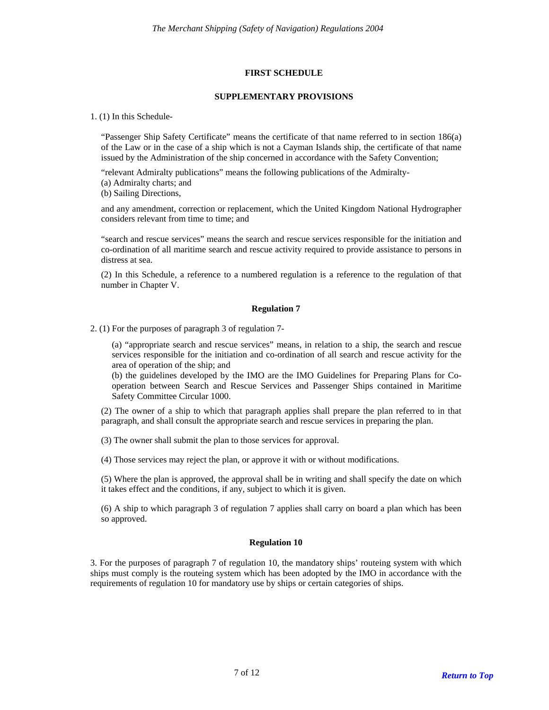### **FIRST SCHEDULE**

#### **SUPPLEMENTARY PROVISIONS**

#### <span id="page-6-0"></span>1. (1) In this Schedule-

"Passenger Ship Safety Certificate" means the certificate of that name referred to in section 186(a) of the Law or in the case of a ship which is not a Cayman Islands ship, the certificate of that name issued by the Administration of the ship concerned in accordance with the Safety Convention;

"relevant Admiralty publications" means the following publications of the Admiralty-

- (a) Admiralty charts; and
- (b) Sailing Directions,

and any amendment, correction or replacement, which the United Kingdom National Hydrographer considers relevant from time to time; and

"search and rescue services" means the search and rescue services responsible for the initiation and co-ordination of all maritime search and rescue activity required to provide assistance to persons in distress at sea.

(2) In this Schedule, a reference to a numbered regulation is a reference to the regulation of that number in Chapter V.

### **Regulation 7**

<span id="page-6-1"></span>2. (1) For the purposes of paragraph 3 of regulation 7-

(a) "appropriate search and rescue services" means, in relation to a ship, the search and rescue services responsible for the initiation and co-ordination of all search and rescue activity for the area of operation of the ship; and

(b) the guidelines developed by the IMO are the IMO Guidelines for Preparing Plans for Cooperation between Search and Rescue Services and Passenger Ships contained in Maritime Safety Committee Circular 1000.

(2) The owner of a ship to which that paragraph applies shall prepare the plan referred to in that paragraph, and shall consult the appropriate search and rescue services in preparing the plan.

(3) The owner shall submit the plan to those services for approval.

(4) Those services may reject the plan, or approve it with or without modifications.

(5) Where the plan is approved, the approval shall be in writing and shall specify the date on which it takes effect and the conditions, if any, subject to which it is given.

(6) A ship to which paragraph 3 of regulation 7 applies shall carry on board a plan which has been so approved.

### **Regulation 10**

<span id="page-6-2"></span>3. For the purposes of paragraph 7 of regulation 10, the mandatory ships' routeing system with which ships must comply is the routeing system which has been adopted by the IMO in accordance with the requirements of regulation 10 for mandatory use by ships or certain categories of ships.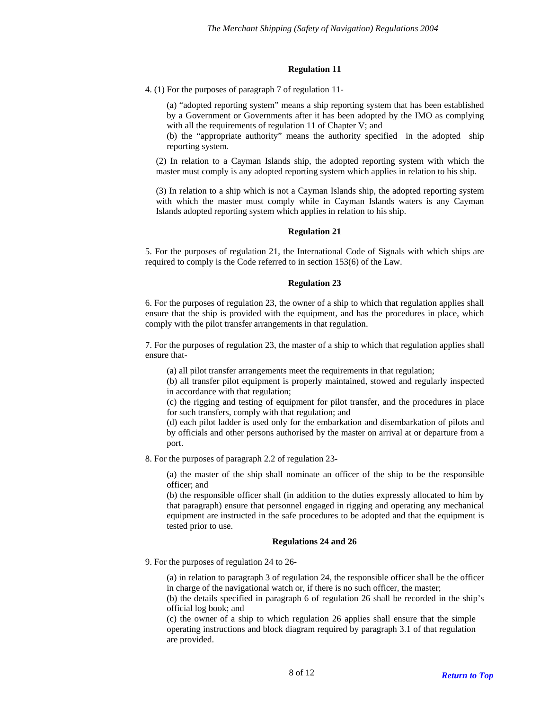## **Regulation 11**

<span id="page-7-0"></span>4. (1) For the purposes of paragraph 7 of regulation 11-

(a) "adopted reporting system" means a ship reporting system that has been established by a Government or Governments after it has been adopted by the IMO as complying with all the requirements of regulation 11 of Chapter V; and

(b) the "appropriate authority" means the authority specified in the adopted ship reporting system.

(2) In relation to a Cayman Islands ship, the adopted reporting system with which the master must comply is any adopted reporting system which applies in relation to his ship.

(3) In relation to a ship which is not a Cayman Islands ship, the adopted reporting system with which the master must comply while in Cayman Islands waters is any Cayman Islands adopted reporting system which applies in relation to his ship.

### **Regulation 21**

<span id="page-7-1"></span>5. For the purposes of regulation 21, the International Code of Signals with which ships are required to comply is the Code referred to in section 153(6) of the Law.

### **Regulation 23**

<span id="page-7-2"></span>6. For the purposes of regulation 23, the owner of a ship to which that regulation applies shall ensure that the ship is provided with the equipment, and has the procedures in place, which comply with the pilot transfer arrangements in that regulation.

7. For the purposes of regulation 23, the master of a ship to which that regulation applies shall ensure that-

(a) all pilot transfer arrangements meet the requirements in that regulation;

(b) all transfer pilot equipment is properly maintained, stowed and regularly inspected in accordance with that regulation;

(c) the rigging and testing of equipment for pilot transfer, and the procedures in place for such transfers, comply with that regulation; and

(d) each pilot ladder is used only for the embarkation and disembarkation of pilots and by officials and other persons authorised by the master on arrival at or departure from a port.

8. For the purposes of paragraph 2.2 of regulation 23-

(a) the master of the ship shall nominate an officer of the ship to be the responsible officer; and

(b) the responsible officer shall (in addition to the duties expressly allocated to him by that paragraph) ensure that personnel engaged in rigging and operating any mechanical equipment are instructed in the safe procedures to be adopted and that the equipment is tested prior to use.

### **Regulations 24 and 26**

<span id="page-7-3"></span>9. For the purposes of regulation 24 to 26-

(a) in relation to paragraph 3 of regulation 24, the responsible officer shall be the officer in charge of the navigational watch or, if there is no such officer, the master;

(b) the details specified in paragraph 6 of regulation 26 shall be recorded in the ship's official log book; and

(c) the owner of a ship to which regulation 26 applies shall ensure that the simple operating instructions and block diagram required by paragraph 3.1 of that regulation are provided.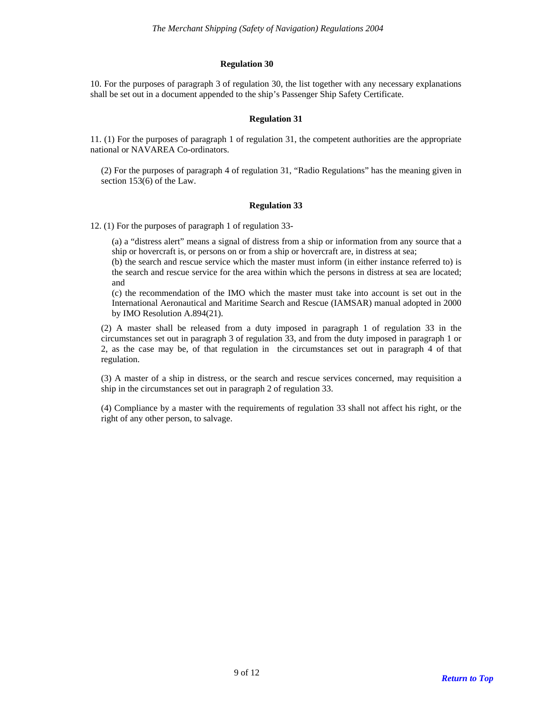### **Regulation 30**

<span id="page-8-0"></span>10. For the purposes of paragraph 3 of regulation 30, the list together with any necessary explanations shall be set out in a document appended to the ship's Passenger Ship Safety Certificate.

### **Regulation 31**

<span id="page-8-1"></span>11. (1) For the purposes of paragraph 1 of regulation 31, the competent authorities are the appropriate national or NAVAREA Co-ordinators.

(2) For the purposes of paragraph 4 of regulation 31, "Radio Regulations" has the meaning given in section 153(6) of the Law.

#### **Regulation 33**

<span id="page-8-2"></span>12. (1) For the purposes of paragraph 1 of regulation 33-

(a) a "distress alert" means a signal of distress from a ship or information from any source that a ship or hovercraft is, or persons on or from a ship or hovercraft are, in distress at sea;

(b) the search and rescue service which the master must inform (in either instance referred to) is the search and rescue service for the area within which the persons in distress at sea are located; and

(c) the recommendation of the IMO which the master must take into account is set out in the International Aeronautical and Maritime Search and Rescue (IAMSAR) manual adopted in 2000 by IMO Resolution A.894(21).

(2) A master shall be released from a duty imposed in paragraph 1 of regulation 33 in the circumstances set out in paragraph 3 of regulation 33, and from the duty imposed in paragraph 1 or 2, as the case may be, of that regulation in the circumstances set out in paragraph 4 of that regulation.

(3) A master of a ship in distress, or the search and rescue services concerned, may requisition a ship in the circumstances set out in paragraph 2 of regulation 33.

(4) Compliance by a master with the requirements of regulation 33 shall not affect his right, or the right of any other person, to salvage.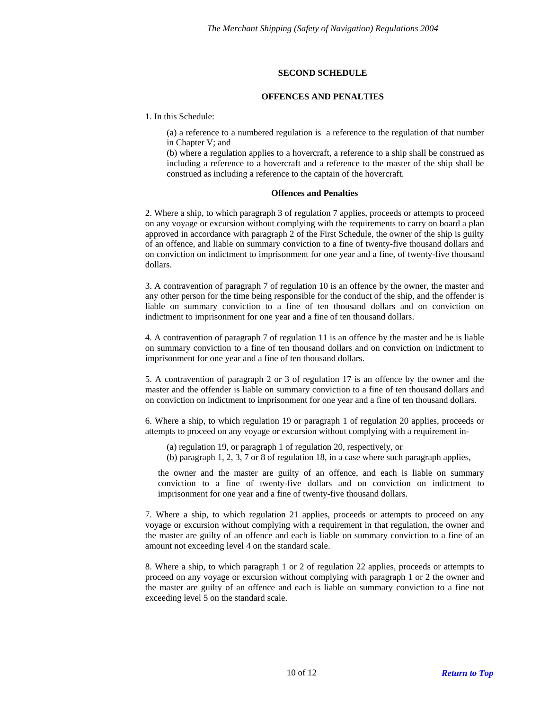## **SECOND SCHEDULE**

#### **OFFENCES AND PENALTIES**

<span id="page-9-0"></span>1. In this Schedule:

(a) a reference to a numbered regulation is a reference to the regulation of that number in Chapter V; and

(b) where a regulation applies to a hovercraft, a reference to a ship shall be construed as including a reference to a hovercraft and a reference to the master of the ship shall be construed as including a reference to the captain of the hovercraft.

### **Offences and Penalties**

<span id="page-9-1"></span>2. Where a ship, to which paragraph 3 of regulation 7 applies, proceeds or attempts to proceed on any voyage or excursion without complying with the requirements to carry on board a plan approved in accordance with paragraph 2 of the First Schedule, the owner of the ship is guilty of an offence, and liable on summary conviction to a fine of twenty-five thousand dollars and on conviction on indictment to imprisonment for one year and a fine, of twenty-five thousand dollars.

3. A contravention of paragraph 7 of regulation 10 is an offence by the owner, the master and any other person for the time being responsible for the conduct of the ship, and the offender is liable on summary conviction to a fine of ten thousand dollars and on conviction on indictment to imprisonment for one year and a fine of ten thousand dollars.

4. A contravention of paragraph 7 of regulation 11 is an offence by the master and he is liable on summary conviction to a fine of ten thousand dollars and on conviction on indictment to imprisonment for one year and a fine of ten thousand dollars.

5. A contravention of paragraph 2 or 3 of regulation 17 is an offence by the owner and the master and the offender is liable on summary conviction to a fine of ten thousand dollars and on conviction on indictment to imprisonment for one year and a fine of ten thousand dollars.

6. Where a ship, to which regulation 19 or paragraph 1 of regulation 20 applies, proceeds or attempts to proceed on any voyage or excursion without complying with a requirement in-

- (a) regulation 19, or paragraph 1 of regulation 20, respectively, or
- (b) paragraph 1, 2, 3, 7 or 8 of regulation 18, in a case where such paragraph applies,

the owner and the master are guilty of an offence, and each is liable on summary conviction to a fine of twenty-five dollars and on conviction on indictment to imprisonment for one year and a fine of twenty-five thousand dollars.

7. Where a ship, to which regulation 21 applies, proceeds or attempts to proceed on any voyage or excursion without complying with a requirement in that regulation, the owner and the master are guilty of an offence and each is liable on summary conviction to a fine of an amount not exceeding level 4 on the standard scale.

8. Where a ship, to which paragraph 1 or 2 of regulation 22 applies, proceeds or attempts to proceed on any voyage or excursion without complying with paragraph 1 or 2 the owner and the master are guilty of an offence and each is liable on summary conviction to a fine not exceeding level 5 on the standard scale.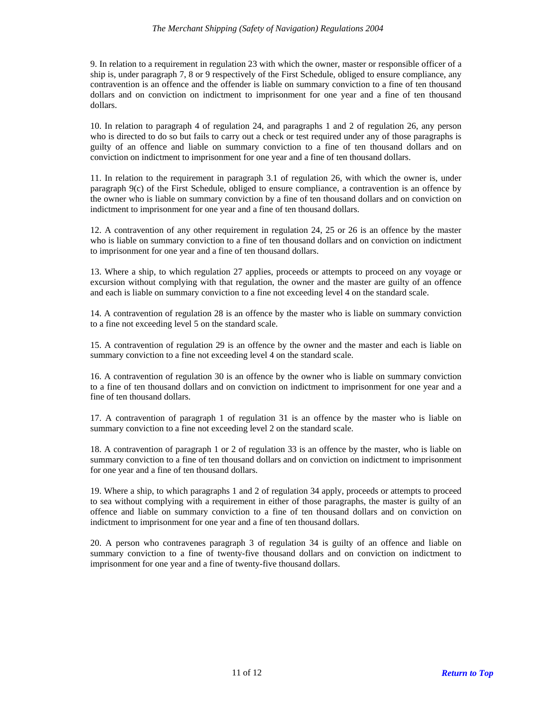9. In relation to a requirement in regulation 23 with which the owner, master or responsible officer of a ship is, under paragraph 7, 8 or 9 respectively of the First Schedule, obliged to ensure compliance, any contravention is an offence and the offender is liable on summary conviction to a fine of ten thousand dollars and on conviction on indictment to imprisonment for one year and a fine of ten thousand dollars.

10. In relation to paragraph 4 of regulation 24, and paragraphs 1 and 2 of regulation 26, any person who is directed to do so but fails to carry out a check or test required under any of those paragraphs is guilty of an offence and liable on summary conviction to a fine of ten thousand dollars and on conviction on indictment to imprisonment for one year and a fine of ten thousand dollars.

11. In relation to the requirement in paragraph 3.1 of regulation 26, with which the owner is, under paragraph 9(c) of the First Schedule, obliged to ensure compliance, a contravention is an offence by the owner who is liable on summary conviction by a fine of ten thousand dollars and on conviction on indictment to imprisonment for one year and a fine of ten thousand dollars.

12. A contravention of any other requirement in regulation 24, 25 or 26 is an offence by the master who is liable on summary conviction to a fine of ten thousand dollars and on conviction on indictment to imprisonment for one year and a fine of ten thousand dollars.

13. Where a ship, to which regulation 27 applies, proceeds or attempts to proceed on any voyage or excursion without complying with that regulation, the owner and the master are guilty of an offence and each is liable on summary conviction to a fine not exceeding level 4 on the standard scale.

14. A contravention of regulation 28 is an offence by the master who is liable on summary conviction to a fine not exceeding level 5 on the standard scale.

15. A contravention of regulation 29 is an offence by the owner and the master and each is liable on summary conviction to a fine not exceeding level 4 on the standard scale.

16. A contravention of regulation 30 is an offence by the owner who is liable on summary conviction to a fine of ten thousand dollars and on conviction on indictment to imprisonment for one year and a fine of ten thousand dollars.

17. A contravention of paragraph 1 of regulation 31 is an offence by the master who is liable on summary conviction to a fine not exceeding level 2 on the standard scale.

18. A contravention of paragraph 1 or 2 of regulation 33 is an offence by the master, who is liable on summary conviction to a fine of ten thousand dollars and on conviction on indictment to imprisonment for one year and a fine of ten thousand dollars.

19. Where a ship, to which paragraphs 1 and 2 of regulation 34 apply, proceeds or attempts to proceed to sea without complying with a requirement in either of those paragraphs, the master is guilty of an offence and liable on summary conviction to a fine of ten thousand dollars and on conviction on indictment to imprisonment for one year and a fine of ten thousand dollars.

20. A person who contravenes paragraph 3 of regulation 34 is guilty of an offence and liable on summary conviction to a fine of twenty-five thousand dollars and on conviction on indictment to imprisonment for one year and a fine of twenty-five thousand dollars.